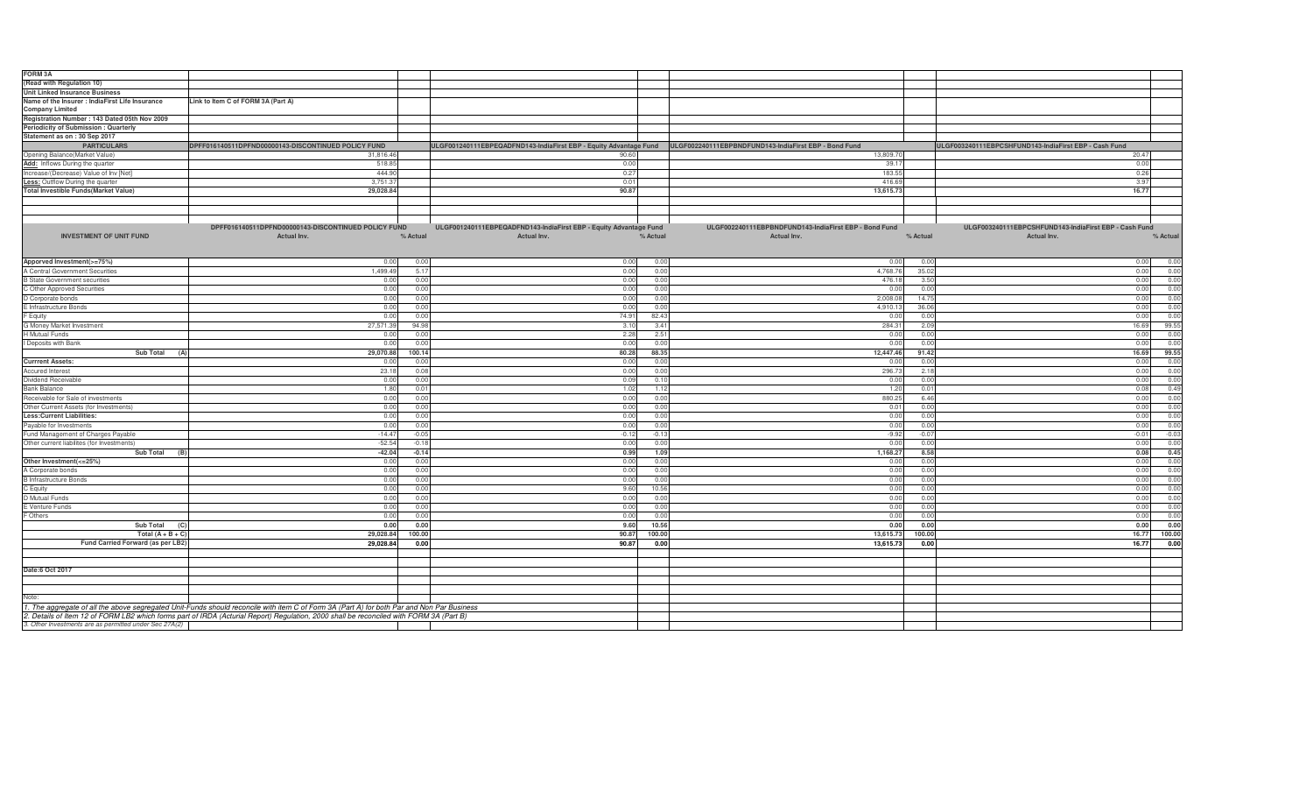| FORM <sub>3A</sub>                                     |                                                                                                                                            |          |                                                                                                                         |               |                                                       |          |                                                       |          |
|--------------------------------------------------------|--------------------------------------------------------------------------------------------------------------------------------------------|----------|-------------------------------------------------------------------------------------------------------------------------|---------------|-------------------------------------------------------|----------|-------------------------------------------------------|----------|
| (Read with Regulation 10)                              |                                                                                                                                            |          |                                                                                                                         |               |                                                       |          |                                                       |          |
| <b>Unit Linked Insurance Business</b>                  |                                                                                                                                            |          |                                                                                                                         |               |                                                       |          |                                                       |          |
| Name of the Insurer : IndiaFirst Life Insurance        | Link to Item C of FORM 3A (Part A)                                                                                                         |          |                                                                                                                         |               |                                                       |          |                                                       |          |
| <b>Company Limited</b>                                 |                                                                                                                                            |          |                                                                                                                         |               |                                                       |          |                                                       |          |
| Registration Number: 143 Dated 05th Nov 2009           |                                                                                                                                            |          |                                                                                                                         |               |                                                       |          |                                                       |          |
| Periodicity of Submission : Quarterly                  |                                                                                                                                            |          |                                                                                                                         |               |                                                       |          |                                                       |          |
| Statement as on : 30 Sep 2017                          |                                                                                                                                            |          |                                                                                                                         |               |                                                       |          |                                                       |          |
| <b>PARTICULARS</b>                                     | DPFF016140511DPFND00000143-DISCONTINUED POLICY FUND                                                                                        |          | ULGF001240111EBPEQADFND143-IndiaFirst EBP - Equity Advantage Fund ULGF002240111EBPBNDFUND143-IndiaFirst EBP - Bond Fund |               |                                                       |          | ULGF003240111EBPCSHFUND143-IndiaFirst EBP - Cash Fund |          |
| Opening Balance(Market Value)                          | 31,816.46                                                                                                                                  |          | 90.60                                                                                                                   |               | 13,809.70                                             |          | 20.47                                                 |          |
| Add: Inflows During the quarter                        | 518.85                                                                                                                                     |          | 0.00                                                                                                                    |               | 39.17                                                 |          | 0.00                                                  |          |
| Increase/(Decrease) Value of Inv [Net]                 | 444.90                                                                                                                                     |          | 0.27                                                                                                                    |               | 183.55                                                |          | 0.26                                                  |          |
| Less: Outflow During the quarter                       | 3,751.37                                                                                                                                   |          | 0.01                                                                                                                    |               | 416.69                                                |          | 3.97                                                  |          |
| <b>Total Investible Funds(Market Value)</b>            | 29,028.84                                                                                                                                  |          | 90.87                                                                                                                   |               | 13,615.73                                             |          | 16.77                                                 |          |
|                                                        |                                                                                                                                            |          |                                                                                                                         |               |                                                       |          |                                                       |          |
|                                                        |                                                                                                                                            |          |                                                                                                                         |               |                                                       |          |                                                       |          |
|                                                        |                                                                                                                                            |          |                                                                                                                         |               |                                                       |          |                                                       |          |
|                                                        | DPFF016140511DPFND00000143-DISCONTINUED POLICY FUND                                                                                        |          | ULGF001240111EBPEQADFND143-IndiaFirst EBP - Equity Advantage Fund                                                       |               | ULGF002240111EBPBNDFUND143-IndiaFirst EBP - Bond Fund |          | ULGF003240111EBPCSHFUND143-IndiaFirst EBP - Cash Fund |          |
| <b>INVESTMENT OF UNIT FUND</b>                         | <b>Actual Inv.</b>                                                                                                                         | % Actual | Actual Inv.                                                                                                             | % Actual      | Actual Inv.                                           | % Actual | Actual Inv.                                           | % Actual |
|                                                        |                                                                                                                                            |          |                                                                                                                         |               |                                                       |          |                                                       |          |
|                                                        |                                                                                                                                            |          |                                                                                                                         |               |                                                       |          |                                                       |          |
| Apporved Investment(>=75%)                             | 0.0                                                                                                                                        | 0.00     | 0.00                                                                                                                    | 0.0(          | 0.00                                                  | 0.00     | 0.00                                                  | 0.00     |
| A Central Government Securities                        | 1,499.4                                                                                                                                    | 5.17     | 0.00                                                                                                                    | 0.0(          | 4,768.7                                               | 35.02    | 0.00                                                  | 0.00     |
| <b>B</b> State Government securities                   | 0.0                                                                                                                                        | 0.00     | 0.00                                                                                                                    | 0.0(          | 476.18                                                | 3.50     | 0.00                                                  | 0.00     |
| C Other Approved Securities                            | 0.0                                                                                                                                        | 0.00     | 0.00                                                                                                                    | 0.00          | 0.00                                                  | 0.00     | 0.00                                                  | 0.00     |
| D Corporate bonds                                      | 0.0                                                                                                                                        | 0.00     | 0.00                                                                                                                    | 0.0(          | 2,008.0                                               | 14.75    | 0.00                                                  | 0.00     |
| E Infrastructure Bonds                                 | 0.0                                                                                                                                        | 0.00     | 0.00                                                                                                                    | 0.00          | 4,910.13                                              | 36.06    | 0.00                                                  | 0.00     |
| F Equity                                               | 0.0                                                                                                                                        | 0.00     | 74.91                                                                                                                   | 82.43         | 0.00                                                  | 0.00     | 0.00                                                  | 0.00     |
| G Money Market Investment                              | 27,571.3                                                                                                                                   | 94.9     | 3.10                                                                                                                    | 3.41          | 284.31                                                | 2.09     | 16.69                                                 | 99.55    |
| <b>H</b> Mutual Funds                                  | 0.0                                                                                                                                        | 0.00     | 2.28                                                                                                                    | $2.5^{\circ}$ | 0.00                                                  | 0.00     | 0.00                                                  | 0.00     |
| I Deposits with Bank                                   | 0.0                                                                                                                                        | 0.00     | 0.00                                                                                                                    | 0.0(          | 0.00                                                  | 0.00     | 0.00                                                  | 0.00     |
| <b>Sub Total</b>                                       | 29,070.8                                                                                                                                   | 100.14   | 80.28                                                                                                                   | 88.3          | 12,447.46                                             | 91.42    | 16.69                                                 | 99.55    |
| <b>Currrent Assets:</b>                                | 0.0                                                                                                                                        | 0.00     | 0.00                                                                                                                    | 0.00          | 0.00                                                  | 0.00     | 0.00                                                  | 0.00     |
| Accured Interest                                       | 23.1                                                                                                                                       | 0.08     | 0.00                                                                                                                    | 0.0(          | 296.7                                                 | 2.18     | 0.00                                                  | 0.00     |
| Dividend Receivable                                    | 0.0                                                                                                                                        | 0.00     | 0.09                                                                                                                    | 0.1(          | 0.00                                                  | 0.00     | 0.00                                                  | 0.00     |
| <b>Bank Balance</b>                                    | 1.8                                                                                                                                        | 0.0      | 1.02                                                                                                                    | 1.12          | 1.20                                                  | 0.01     | 0.08                                                  | 0.49     |
| Receivable for Sale of investments                     | 0.0                                                                                                                                        | 0.00     | 0.00                                                                                                                    | 0.0(          | 880.25                                                | 6.46     | 0.00                                                  | 0.00     |
| Other Current Assets (for Investments)                 | 0.0                                                                                                                                        | 0.00     | 0.00                                                                                                                    | 0.00          | 0.01                                                  | 0.00     | 0.00                                                  | 0.00     |
| <b>Less:Current Liabilities:</b>                       | 0.0                                                                                                                                        | 0.00     | 0.00                                                                                                                    | 0.0(          | 0.00                                                  | 0.00     | 0.00                                                  | 0.00     |
| Payable for Investments                                | 0.0                                                                                                                                        | 0.00     | 0.00                                                                                                                    | 0.0(          | 0.00                                                  | 0.00     | 0.00                                                  | 0.00     |
| Fund Management of Charges Payable                     | $-14.4$                                                                                                                                    | $-0.05$  | $-0.12$                                                                                                                 | $-0.13$       | $-9.92$                                               | $-0.07$  | $-0.01$                                               | $-0.03$  |
| Other current liabilites (for Investments)             | $-52.5$                                                                                                                                    | $-0.18$  | 0.00                                                                                                                    | 0.0(          | 0.00                                                  | 0.00     | 0.00                                                  | 0.00     |
| <b>Sub Total</b><br>(B)                                | $-42.0$                                                                                                                                    | $-0.14$  | 0.99                                                                                                                    | 1.09          | 1,168.27                                              | 8.58     | 0.08                                                  | 0.45     |
| Other Investment(<=25%)                                | 0.0                                                                                                                                        | 0.00     | 0.00                                                                                                                    | 0.0(          | 0.00                                                  | 0.00     | 0.00                                                  | 0.00     |
| A Corporate bonds                                      | 0.0                                                                                                                                        | 0.00     | 0.00                                                                                                                    | 0.0(          | 0.00                                                  | 0.00     | 0.00                                                  | 0.00     |
| <b>B</b> Infrastructure Bonds                          | 0.0                                                                                                                                        | 0.00     | 0.00                                                                                                                    | 0.0(          | 0.00                                                  | 0.00     | 0.00                                                  | 0.00     |
| C Equity                                               | 0.0                                                                                                                                        | 0.00     | 9.60                                                                                                                    | 10.56         | 0.00                                                  | 0.00     | 0.00                                                  | 0.00     |
| D Mutual Funds                                         | 0.0                                                                                                                                        | 0.00     | 0.00                                                                                                                    | 0.00          | 0.00                                                  | 0.00     | 0.00                                                  | 0.00     |
| E Venture Funds                                        | 0.0                                                                                                                                        | 0.00     | 0.00                                                                                                                    | 0.0(          | 0.00                                                  | 0.00     | 0.00                                                  | 0.00     |
| F Others                                               | 0.0                                                                                                                                        | 0.00     | 0.00                                                                                                                    | 0.0(          | 0.00                                                  | 0.00     | 0.00                                                  | 0.00     |
| Sub Total                                              | 0.0                                                                                                                                        | 0.00     | 9.60                                                                                                                    | 10.56         | 0.00                                                  | 0.00     | 0.00                                                  | 0.00     |
| Total $(A + B + C)$                                    | 29.028.8                                                                                                                                   | 100.00   | 90.87                                                                                                                   | 100.00        | 13,615.73                                             | 100.00   | 16.77                                                 | 100.00   |
| Fund Carried Forward (as per LB2)                      | 29,028.84                                                                                                                                  | 0.00     | 90.87                                                                                                                   | 0.00          | 13,615.73                                             | 0.00     | 16.77                                                 | 0.00     |
|                                                        |                                                                                                                                            |          |                                                                                                                         |               |                                                       |          |                                                       |          |
|                                                        |                                                                                                                                            |          |                                                                                                                         |               |                                                       |          |                                                       |          |
| Date:6 Oct 2017                                        |                                                                                                                                            |          |                                                                                                                         |               |                                                       |          |                                                       |          |
|                                                        |                                                                                                                                            |          |                                                                                                                         |               |                                                       |          |                                                       |          |
|                                                        |                                                                                                                                            |          |                                                                                                                         |               |                                                       |          |                                                       |          |
| Note:                                                  |                                                                                                                                            |          |                                                                                                                         |               |                                                       |          |                                                       |          |
|                                                        | 1. The aggregate of all the above segregated Unit-Funds should reconcile with item C of Form 3A (Part A) for both Par and Non Par Business |          |                                                                                                                         |               |                                                       |          |                                                       |          |
|                                                        | 2. Details of Item 12 of FORM LB2 which forms part of IRDA (Acturial Report) Regulation, 2000 shall be reconciled with FORM 3A (Part B)    |          |                                                                                                                         |               |                                                       |          |                                                       |          |
| 3. Other Investments are as permitted under Sec 27A(2) |                                                                                                                                            |          |                                                                                                                         |               |                                                       |          |                                                       |          |
|                                                        |                                                                                                                                            |          |                                                                                                                         |               |                                                       |          |                                                       |          |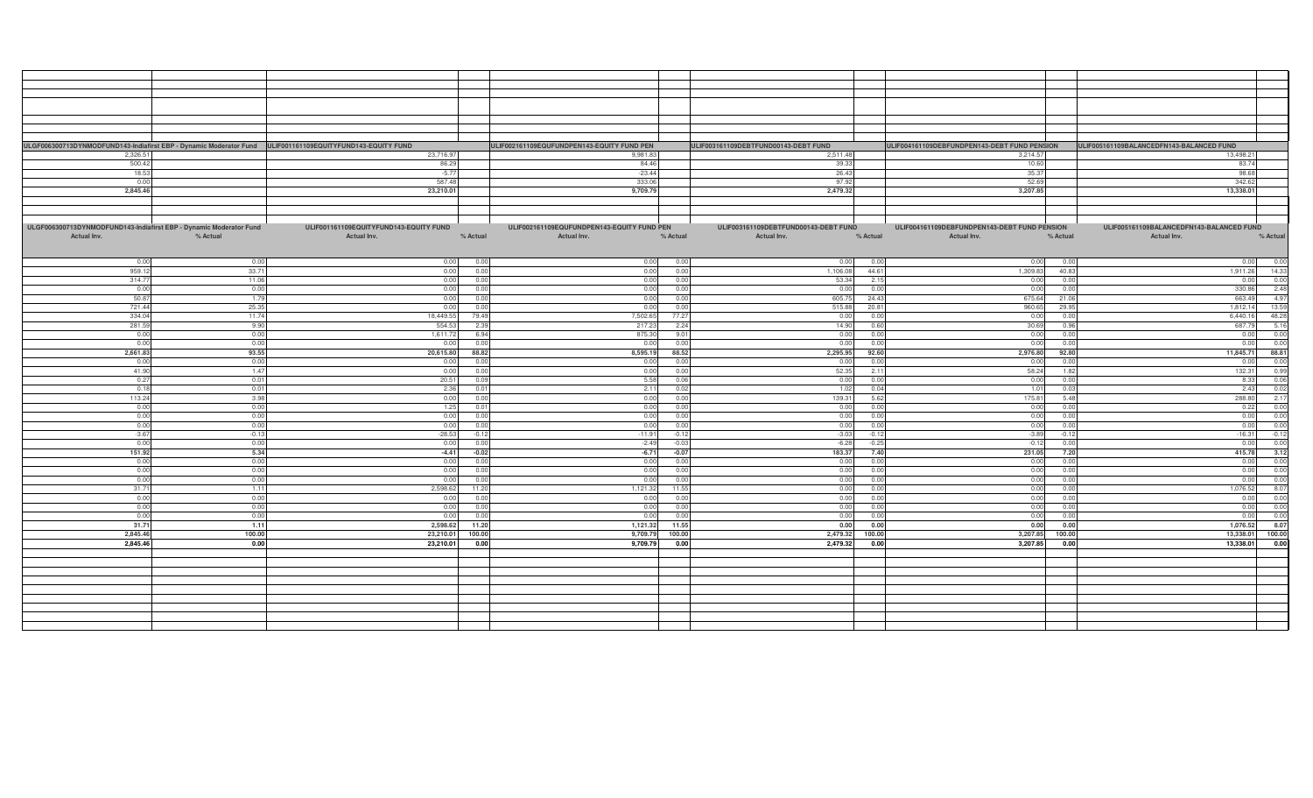|                                                                    |              | ULGF006300713DYNMODFUND143-Indiafirst EBP - Dynamic Moderator Fund ULIF001161109EQUITYFUND143-EQUITY FUND |              | ULIF002161109EQUFUNDPEN143-EQUITY FUND PEN |              | ULIF003161109DEBTFUND00143-DEBT FUND |              |                                              |              | ULIF004161109DEBFUNDPEN143-DEBT FUND PENSION ULIF005161109BALANCEDFN143-BALANCED FUND |
|--------------------------------------------------------------------|--------------|-----------------------------------------------------------------------------------------------------------|--------------|--------------------------------------------|--------------|--------------------------------------|--------------|----------------------------------------------|--------------|---------------------------------------------------------------------------------------|
| 2,326.51                                                           |              | 23,716.97                                                                                                 |              | 9,981.83                                   |              | 2,511.48                             |              | 3,214.57                                     |              | 13,498.21                                                                             |
| 500.42                                                             |              | 86.29                                                                                                     |              | 84.46                                      |              | 39.33                                |              | 10.60                                        |              | 83.74                                                                                 |
| 18.53                                                              |              | $-5.77$                                                                                                   |              | $-23.44$                                   |              | 26.43                                |              | 35.37                                        |              | 98.68                                                                                 |
| 0.00                                                               |              | 587.48                                                                                                    |              | 333.06                                     |              | 97.92                                |              | 52.69                                        |              | 342.62                                                                                |
| 2,845.46                                                           |              | 23,210.01                                                                                                 |              | 9,709.79                                   |              | 2,479.32                             |              | 3,207.85                                     |              | 13,338.01                                                                             |
|                                                                    |              |                                                                                                           |              |                                            |              |                                      |              |                                              |              |                                                                                       |
|                                                                    |              |                                                                                                           |              |                                            |              |                                      |              |                                              |              |                                                                                       |
|                                                                    |              |                                                                                                           |              |                                            |              |                                      |              |                                              |              |                                                                                       |
| ULGF006300713DYNMODFUND143-Indiafirst EBP - Dynamic Moderator Fund |              | ULIF001161109EQUITYFUND143-EQUITY FUND                                                                    |              | ULIF002161109EQUFUNDPEN143-EQUITY FUND PEN |              | ULIF003161109DEBTFUND00143-DEBT FUND |              | ULIF004161109DEBFUNDPEN143-DEBT FUND PENSION |              | ULIF005161109BALANCEDFN143-BALANCED FUND                                              |
| Actual Inv.                                                        | % Actual     | Actual Inv.                                                                                               | % Actual     | Actual Inv.                                | % Actual     | Actual Inv.                          | % Actual     | Actual Inv.                                  | % Actual     | Actual Inv.<br>% Actual                                                               |
|                                                                    |              |                                                                                                           |              |                                            |              |                                      |              |                                              |              |                                                                                       |
| 0.00                                                               | 0.00         | 0.00                                                                                                      | 0.00         | 0.00                                       | 0.01         | 0.00                                 | 0.00         | 0.00                                         | 0.00         | 0.01<br>0.00                                                                          |
| 959.12                                                             | 33.71        | 0.00                                                                                                      | 0.00         | 0.00                                       | 0.00         | 1.106.08                             | 44.61        | 1,309.83                                     | 40.83        | 14.33<br>1.911.26                                                                     |
| 314.77                                                             | 11.06        | 0.00                                                                                                      | 0.00         | 0.00                                       | 0.00         | 53.34                                | 2.15         | 0.00                                         | 0.00         | 0.00<br>0.00                                                                          |
| 0.00                                                               | 0.00         | 0.00                                                                                                      | 0.00         | 0.00                                       | 0.00         | 0.00                                 | 0.00         | 0.00                                         | 0.00         | 2.48<br>330.86                                                                        |
| 50.87                                                              | 1.79         | 0.00                                                                                                      | 0.00         | 0.00                                       | 0.00         | 605.75                               | 24.43        | 675.64                                       | 21.06        | 4.97<br>663.49                                                                        |
| 721.44                                                             | 25.35        | 0.00                                                                                                      | 0.00         | 0.00                                       | 0.00         | 515.88                               | 20.81        | 960.65                                       | 29.95        | 13.59<br>1,812.14                                                                     |
| 334.04                                                             | 11.74        | 18,449.55                                                                                                 | 79.49        | 7,502.65                                   | 77.27        | 0.00                                 | 0.00         | 0.00                                         | 0.00         | 48.28<br>6,440.16                                                                     |
| 281.59                                                             | 9.90         | 554.53                                                                                                    | 2.39         | 217.23                                     | 2.24         | 14.90                                | 0.60         | 30.69                                        | 0.96         | $\frac{5.16}{0.00}$<br>687.79                                                         |
| 0.00                                                               | 0.00         | 1,611.72                                                                                                  | 6.94         | 875.30                                     | 9.01         | 0.00                                 | 0.00         | 0.00                                         | 0.00         | 0.00                                                                                  |
| 0.00                                                               | 0.00         | 0.00                                                                                                      | 0.00         | 0.00                                       | 0.00         | 0.00                                 | 0.00         | 0.00                                         | 0.00         | 0.00<br>0.00                                                                          |
| 2,661.83                                                           | 93.55        | 20,615.80                                                                                                 | 88.82        | 8,595.19                                   | 88.52        | 2,295.95                             | 92.60        | 2,976.80                                     | 92.80        | 88.81<br>11,845.71                                                                    |
| 0.00                                                               | 0.00         | 0.00                                                                                                      | 0.00         | 0.00                                       | 0.00         | 0.00                                 | 0.00         | 0.00                                         | 0.00         | 0.00<br>0.00                                                                          |
| 41.90                                                              | 1.47         | 0.00                                                                                                      | 0.00         | 0.00                                       | 0.00         | 52.35                                | 2.11         | 58.24                                        | 1.82         | 0.99<br>132.31                                                                        |
| 0.27                                                               | 0.01         | 20.51                                                                                                     | 0.09         | 5.58                                       | 0.06         | 0.00                                 | 0.00         | 0.00                                         | 0.00         | 0.06<br>8.33                                                                          |
| 0.18                                                               | 0.01         | 2.36                                                                                                      | 0.01         | 2.11                                       | 0.02         | 1.02                                 | 0.04         | 1.01                                         | 0.03         | 0.02<br>2.43                                                                          |
| 113.24                                                             | 3.98         | 0.00                                                                                                      | 0.00         | 0.00                                       | 0.00         | 139.31                               | 5.62         | 175.81                                       | 5.48         | 2.17<br>288.80<br>0.00                                                                |
| 0.00<br>0.00                                                       | 0.00<br>0.00 | 1.25<br>0.00                                                                                              | 0.01<br>0.00 | 0.00<br>0.00                               | 0.01<br>0.00 | 0.00<br>0.00                         | 0.00<br>0.00 | 0.00<br>0.00                                 | 0.00<br>0.00 | 0.22<br>0.00<br>0.00                                                                  |
| 0.00                                                               | 0.00         | 0.00                                                                                                      | 0.00         | 0.00                                       | 0.00         | 0.00                                 | 0.00         | 0.00                                         | 0.00         | 0.00<br>0.00                                                                          |
| $-3.67$                                                            | $-0.13$      | $-28.53$                                                                                                  | $-0.12$      | $-11.91$                                   | $-0.12$      | $-3.03$                              | $-0.12$      | $-3.89$                                      | $-0.12$      | $-0.12$<br>$-16.31$                                                                   |
| 0.00                                                               | 0.00         | 0.00                                                                                                      | 0.00         | $-2.49$                                    | $-0.03$      | $-6.28$                              | $-0.25$      | $-0.12$                                      | 0.00         | 0.00<br>0.00                                                                          |
| 151.92                                                             | 5.34         | $-4.41$                                                                                                   | $-0.02$      | $-6.71$                                    | $-0.07$      | 183.37                               | 7.40         | 231.05                                       | 7.20         | 3.12<br>415.78                                                                        |
| 0.00                                                               | 0.00         | 0.00                                                                                                      | 0.00         | 0.00                                       | 0.01         | 0.00                                 | 0.0          | 0.00                                         | 0.00         | 0.00<br>0.00                                                                          |
| 0.00                                                               | 0.00         | 0.00                                                                                                      | 0.00         | 0.00                                       | 0.00         | 0.00                                 | 0.00         | 0.00                                         | 0.00         | 0.00<br>0.00                                                                          |
| 0.00                                                               | 0.00         | 0.00                                                                                                      | 0.00         | 0.00                                       | 0.00         | 0.00                                 | 0.00         | 0.00                                         | 0.00         | 0.00<br>0.00                                                                          |
| 31.71                                                              | 1.11         | 2,598.62                                                                                                  | 11.20        | 1,121.32                                   | 11.55        | 0.00                                 | 0.00         | 0.00                                         | 0.00         | 8.07<br>1,076.52                                                                      |
| 0.00                                                               | 0.00         | 0.00                                                                                                      | 0.00         | 0.00                                       | 0.00         | 0.00                                 | 0.00         | 0.00                                         | 0.00         | 0.00<br>0.00                                                                          |
| 0.00                                                               | 0.00         | 0.00                                                                                                      | 0.00         | 0.00                                       | 0.0          | 0.00                                 | 0.00         | 0.00                                         | 0.00         | 0.00<br>0.00                                                                          |
| 0.00                                                               | 0.00         | 0.00                                                                                                      | 0.00         | 0.00                                       | 0.00         | 0.00                                 | 0.00         | 0.00                                         | 0.00         | 0.00<br>0.00                                                                          |
| 31.71                                                              | 1.11         | 2,598.62                                                                                                  | 11.20        | 1,121.32                                   | 11.55        | 0.00                                 | 0.00         | 0.00                                         | 0.00         | 8.07<br>1,076.52                                                                      |
| 2,845.46                                                           | 100.00       | 23,210.01                                                                                                 | 100.00       | 9,709.79                                   | 100.00       | 2,479.32                             | 100.00       | 3,207.85                                     | 100.00       | 100.00<br>13,338.01                                                                   |
| 2,845.46                                                           | 0.00         | 23,210.01                                                                                                 | 0.00         | 9,709.79                                   | 0.00         | 2,479.32                             | 0.00         | 3,207.85                                     | 0.00         | 0.00<br>13,338.01                                                                     |
|                                                                    |              |                                                                                                           |              |                                            |              |                                      |              |                                              |              |                                                                                       |
|                                                                    |              |                                                                                                           |              |                                            |              |                                      |              |                                              |              |                                                                                       |
|                                                                    |              |                                                                                                           |              |                                            |              |                                      |              |                                              |              |                                                                                       |
|                                                                    |              |                                                                                                           |              |                                            |              |                                      |              |                                              |              |                                                                                       |
|                                                                    |              |                                                                                                           |              |                                            |              |                                      |              |                                              |              |                                                                                       |
|                                                                    |              |                                                                                                           |              |                                            |              |                                      |              |                                              |              |                                                                                       |
|                                                                    |              |                                                                                                           |              |                                            |              |                                      |              |                                              |              |                                                                                       |
|                                                                    |              |                                                                                                           |              |                                            |              |                                      |              |                                              |              |                                                                                       |
|                                                                    |              |                                                                                                           |              |                                            |              |                                      |              |                                              |              |                                                                                       |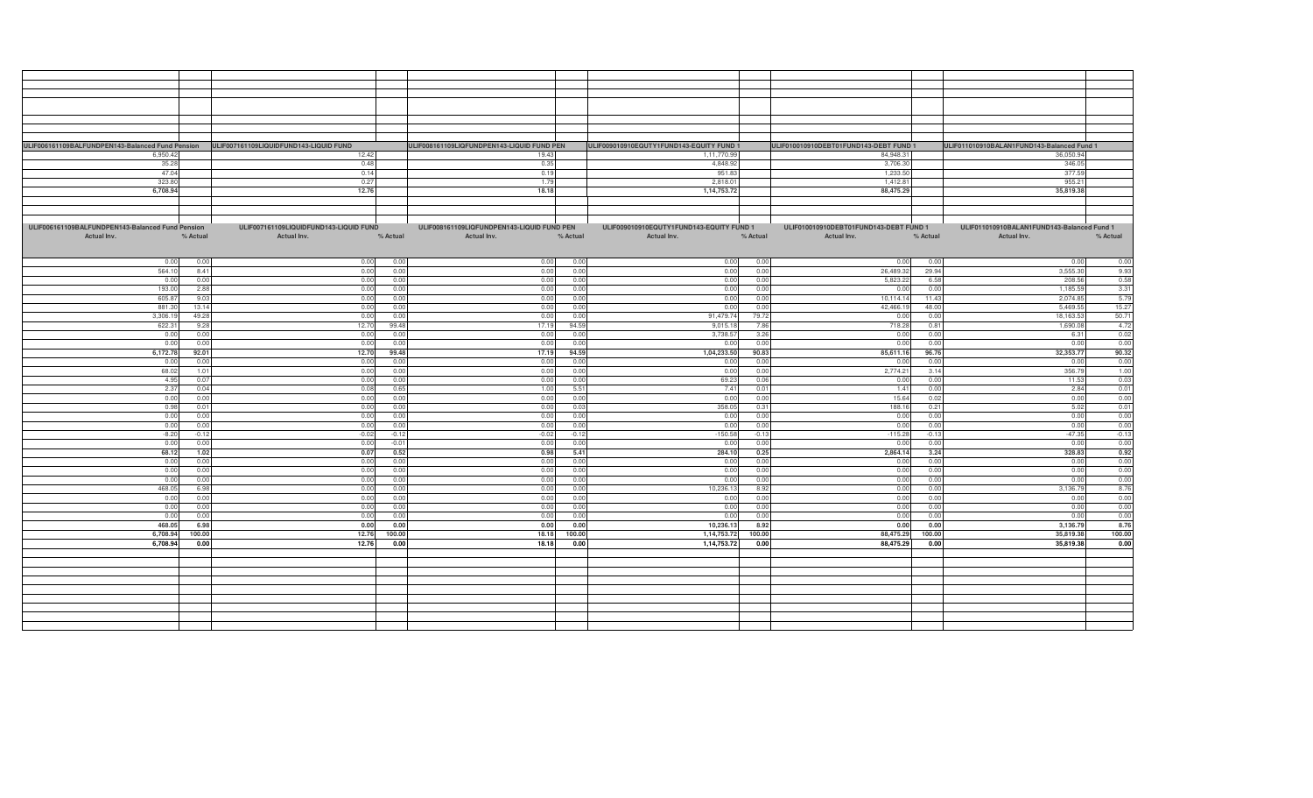| ULIF006161109BALFUNDPEN143-Balanced Fund Pension ULIF007161109LIQUIDFUND143-LIQUID FUND |          |                                        |          | ULIF008161109LIQFUNDPEN143-LIQUID FUND PEN |          | ULIF009010910EQUTY1FUND143-EQUITY FUND 1 |          | ULIF010010910DEBT01FUND143-DEBT FUND 1 |               | ULIF011010910BALAN1FUND143-Balanced Fund 1 |          |
|-----------------------------------------------------------------------------------------|----------|----------------------------------------|----------|--------------------------------------------|----------|------------------------------------------|----------|----------------------------------------|---------------|--------------------------------------------|----------|
| 6,950.42                                                                                |          | 12.42                                  |          | 19.43                                      |          | 1,11,770.99                              |          | 84,948.31                              |               | 36,050.94                                  |          |
| 35.28                                                                                   |          | 0.48                                   |          | 0.35                                       |          | 4,848.92                                 |          | 3,706.30                               |               | 346.05                                     |          |
|                                                                                         |          |                                        |          |                                            |          |                                          |          |                                        |               |                                            |          |
| 47.04                                                                                   |          | 0.14                                   |          | 0.19                                       |          | 951.83                                   |          | 1,233.50                               |               | 377.59                                     |          |
| 323.80                                                                                  |          | 0.27                                   |          | 1.79                                       | 2,818.01 |                                          | 1,412.81 |                                        | 955.21        |                                            |          |
| 6,708.94                                                                                |          | 12.76                                  |          | 18.18                                      |          | 1,14,753.72                              |          | 88,475.29                              |               | 35,819.38                                  |          |
|                                                                                         |          |                                        |          |                                            |          |                                          |          |                                        |               |                                            |          |
|                                                                                         |          |                                        |          |                                            |          |                                          |          |                                        |               |                                            |          |
|                                                                                         |          |                                        |          |                                            |          |                                          |          |                                        |               |                                            |          |
| ULIF006161109BALFUNDPEN143-Balanced Fund Pension                                        |          | ULIF007161109LIQUIDFUND143-LIQUID FUND |          | ULIF008161109LIQFUNDPEN143-LIQUID FUND PEN |          | ULIF009010910EQUTY1FUND143-EQUITY FUND 1 |          | ULIF010010910DEBT01FUND143-DEBT FUND 1 |               | ULIF011010910BALAN1FUND143-Balanced Fund 1 |          |
| Actual Inv.                                                                             | % Actual | Actual Inv.                            | % Actual | Actual Inv.                                | % Actual | Actual Inv.                              | % Actual | Actual Inv.                            | % Actual      | Actual Inv.                                | % Actual |
|                                                                                         |          |                                        |          |                                            |          |                                          |          |                                        |               |                                            |          |
|                                                                                         |          |                                        |          |                                            |          |                                          |          |                                        |               |                                            |          |
| 0.00                                                                                    | 0.00     | 0.00                                   | 0.00     | 0.00                                       | 0.00     | 0.00                                     | 0.00     | 0.00                                   | 0.00          | 0.00                                       | 0.00     |
| 564.10                                                                                  | 8.41     | 0.00                                   | 0.00     | 0.00                                       | 0.00     | 0.00                                     | 0.00     | 26,489.32                              | 29.94         | 3,555.30                                   | 9.93     |
| 0.0(                                                                                    | 0.00     | 0.00                                   | 0.00     | 0.00                                       | 0.00     | 0.00                                     | 0.00     | 5,823.22                               | 6.58          | 208.56                                     | 0.58     |
|                                                                                         | 2.88     |                                        | 0.00     |                                            | 0.00     |                                          |          |                                        | 0.00          | 1,185.59                                   |          |
| 193.00                                                                                  |          | 0.00                                   |          | 0.00                                       |          | 0.00                                     | 0.00     | 0.00                                   |               |                                            | 3.31     |
| 605.8                                                                                   | 9.03     | 0.00                                   | 0.00     | 0.00                                       | 0.00     | 0.00                                     | 0.00     | 10,114.14                              | 11.43         | 2,074.85                                   | 5.79     |
| 881.3                                                                                   | 13.14    | 0.00                                   | 0.00     | 0.00                                       | 0.00     | 0.00                                     | 0.00     | 42,466.19                              | 48.00         | 5.469.5                                    | 15.27    |
| 3,306.1                                                                                 | 49.28    | 0.00                                   | 0.00     | 0.00                                       | 0.00     | 91,479.74                                | 79.72    | 0.00                                   | 0.00          | 18,163.5                                   | 50.71    |
| 622.3                                                                                   | 9.28     | 12.70                                  | 99.48    | 17.19                                      | 94.5     | 9,015.1                                  | 7.86     | 718.28                                 | $0.8^{\circ}$ | 1,690.0                                    | 4.72     |
| 0.00                                                                                    | 0.00     | 0.00                                   | 0.00     | 0.00                                       | 0.00     | 3,738.5                                  | 3.26     | 0.00                                   | 0.00          | 6.31                                       | 0.02     |
| 0.0(                                                                                    | 0.00     | 0.00                                   | 0.00     | 0.00                                       | 0.00     | 0.00                                     | 0.00     | 0.00                                   | 0.00          | 0.00                                       | 0.00     |
| 6,172.78                                                                                | 92.01    | 12.70                                  | 99.48    | 17.19                                      | 94.59    | 1,04,233.50                              | 90.83    | 85,611.16                              | 96.76         | 32,353.77                                  | 90.32    |
| 0.00                                                                                    | 0.00     | 0.00                                   | 0.00     | 0.00                                       | 0.00     | 0.00                                     | 0.00     | 0.00                                   | 0.00          | 0.00                                       | 0.00     |
| 68.02                                                                                   | 1.01     | 0.00                                   | 0.0(     | 0.00                                       | 0.00     | 0.00                                     | 0.00     | 2,774.21                               | 3.14          | 356.79                                     | 1.00     |
| 4.95                                                                                    | 0.07     | 0.00                                   | 0.00     | 0.00                                       | 0.00     | 69.23                                    | 0.06     | 0.00                                   | 0.00          | 11.53                                      | 0.03     |
| 2.37                                                                                    | 0.04     | 0.08                                   | 0.65     | 1.00                                       | 5.51     | 7.41                                     | 0.01     | 1.41                                   | 0.00          | 2.84                                       | 0.01     |
| 0.00                                                                                    | 0.00     | 0.00                                   | 0.00     | 0.00                                       | 0.00     | 0.00                                     | 0.00     | 15.64                                  | 0.02          | 0.00                                       | 0.00     |
|                                                                                         |          |                                        |          |                                            |          |                                          |          |                                        |               |                                            |          |
| 0.98                                                                                    | 0.01     | 0.00                                   | 0.00     | 0.00                                       | 0.03     | 358.05                                   | 0.31     | 188.16                                 | 0.21          | 5.02                                       | 0.01     |
| 0.00                                                                                    | 0.00     | 0.00                                   | 0.0(     | 0.00                                       | 0.00     | 0.00                                     | 0.00     | 0.00                                   | 0.00          | 0.00                                       | 0.00     |
| 0.00                                                                                    | 0.00     | 0.00                                   | 0.00     | 0.00                                       | 0.00     | 0.00                                     | 0.00     | 0.00                                   | 0.00          | 0.00                                       | 0.00     |
| $-8.20$                                                                                 | $-0.12$  | $-0.02$                                | $-0.12$  | $-0.02$                                    | $-0.12$  | $-150.58$                                | $-0.13$  | $-115.28$                              | $-0.13$       | $-47.35$                                   | $-0.13$  |
| 0.00                                                                                    | 0.00     | 0.00                                   | $-0.01$  | 0.00                                       | 0.00     | 0.00                                     | 0.00     | 0.00                                   | 0.00          | 0.00                                       | 0.00     |
| 68.12                                                                                   | 1.02     | 0.07                                   | 0.52     | 0.98                                       | 5.41     | 284.10                                   | 0.25     | 2,864.14                               | 3.24          | 328.83                                     | 0.92     |
| 0.00                                                                                    | 0.00     | 0.00                                   | 0.00     | 0.00                                       | 0.00     | 0.00                                     | 0.00     | 0.00                                   | 0.00          | 0.00                                       | 0.00     |
| 0.00                                                                                    | 0.00     | 0.00                                   | 0.00     | 0.00                                       | 0.00     | 0.00                                     | 0.00     | 0.00                                   | 0.00          | 0.00                                       | 0.00     |
| 0.00                                                                                    | 0.00     | 0.00                                   | 0.00     | 0.00                                       | 0.00     | 0.00                                     | 0.00     | 0.00                                   | 0.00          | 0.00                                       | 0.00     |
| 468.05                                                                                  | 6.98     | 0.00                                   | 0.00     | 0.00                                       | 0.00     | 10,236.13                                | 8.92     | 0.00                                   | 0.00          | 3,136.79                                   | 8.76     |
| 0.00                                                                                    | 0.00     | 0.00                                   | 0.00     | 0.00                                       | 0.00     | 0.00                                     | 0.00     | 0.00                                   | 0.00          | 0.00                                       | 0.00     |
| 0.00                                                                                    | 0.00     | 0.00                                   | 0.00     | 0.00                                       | 0.00     | 0.00                                     | 0.00     | 0.00                                   | 0.0(          | 0.00                                       | 0.00     |
| 0.00                                                                                    | 0.00     | 0.00                                   | 0.00     | 0.00                                       | 0.00     | 0.00                                     | 0.00     | 0.00                                   | 0.00          | 0.00                                       | 0.00     |
|                                                                                         | 6.98     | 0.00                                   | 0.00     | 0.00                                       | 0.00     |                                          |          |                                        | 0.00          |                                            |          |
| 468.0                                                                                   |          |                                        |          |                                            |          | 10,236.13                                | 8.92     | 0.00                                   |               | 3,136.79                                   | 8.76     |
| 6,708.94                                                                                | 100.00   | 12.76                                  | 100.00   | 18.18                                      | 100.00   | 1,14,753.72                              | 100.00   | 88,475.29                              | 100.00        | 35,819.38                                  | 100.00   |
| 6,708.94                                                                                | 0.00     | 12.76                                  | 0.00     | 18.18                                      | 0.00     | 1,14,753.72                              | 0.00     | 88,475.29                              | 0.00          | 35,819.38                                  | 0.00     |
|                                                                                         |          |                                        |          |                                            |          |                                          |          |                                        |               |                                            |          |
|                                                                                         |          |                                        |          |                                            |          |                                          |          |                                        |               |                                            |          |
|                                                                                         |          |                                        |          |                                            |          |                                          |          |                                        |               |                                            |          |
|                                                                                         |          |                                        |          |                                            |          |                                          |          |                                        |               |                                            |          |
|                                                                                         |          |                                        |          |                                            |          |                                          |          |                                        |               |                                            |          |
|                                                                                         |          |                                        |          |                                            |          |                                          |          |                                        |               |                                            |          |
|                                                                                         |          |                                        |          |                                            |          |                                          |          |                                        |               |                                            |          |
|                                                                                         |          |                                        |          |                                            |          |                                          |          |                                        |               |                                            |          |
|                                                                                         |          |                                        |          |                                            |          |                                          |          |                                        |               |                                            |          |
|                                                                                         |          |                                        |          |                                            |          |                                          |          |                                        |               |                                            |          |